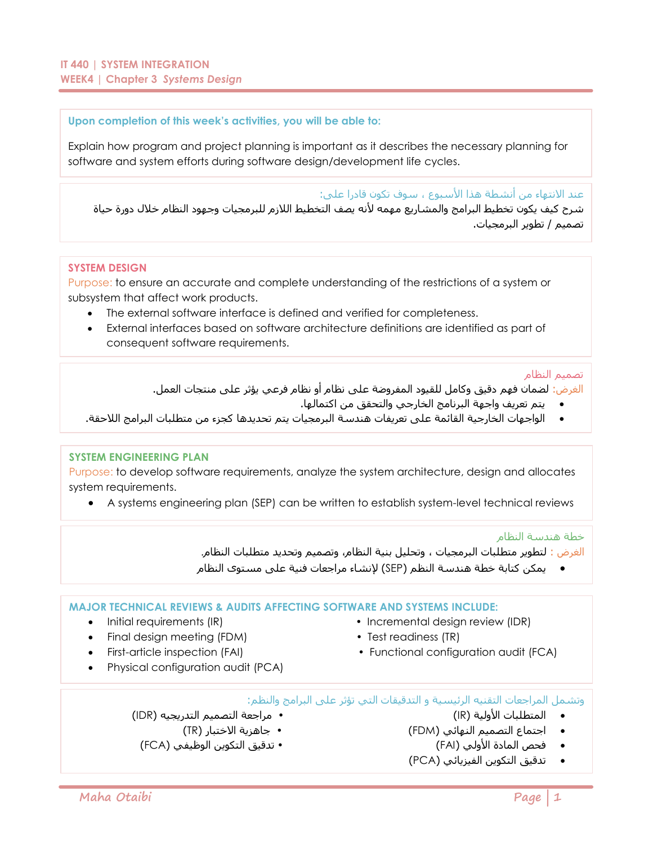### **Upon completion of this week's activities, you will be able to:**

Explain how program and project planning is important as it describes the necessary planning for software and system efforts during software design/development life cycles.

عند الانتهاء من أنشطة هذا الأسبوع ، سوف تكون قادرا على:

شرح كيف يكون تخطيط البرامج والمشاريع مهمه لأنه يصف التخطيط اللازم للبرمجيات وجهود النظام خلال دورة حياة تصميم / تطوير البرمجيات.

#### **SYSTEM DESIGN**

Purpose: to ensure an accurate and complete understanding of the restrictions of a system or subsystem that affect work products.

- The external software interface is defined and verified for completeness.
- External interfaces based on software architecture definitions are identified as part of consequent software requirements.

#### تصميم النظام

الغرض: لضمان فهم دقيق وكامل للقيود المفروضة على نظام أو نظام فرعي يؤثر على منتجات العمل.

- يتم تعريف واجهة البرنامج الخارجي والتحقق من اكتمالها.
- الواجهات الخارجية القائمة على تعريفات هندسة البرمجيات يتم تحديدها كجزء من متطلبات البرامج الالحقة.

### **SYSTEM ENGINEERING PLAN**

Purpose: to develop software requirements, analyze the system architecture, design and allocates system requirements.

A systems engineering plan (SEP) can be written to establish system-level technical reviews

خطة هندسة النظام

الغرض : لتطوير متطلبات البرمجيات ، وتحليل بنية النظام، وتصميم وتحديد متطلبات النظام.

يمكن كتابة خطة هندسة النظم )SEP )إلنشاء مراجعات فنية على مستوى النظام

### **MAJOR TECHNICAL REVIEWS & AUDITS AFFECTING SOFTWARE AND SYSTEMS INCLUDE:**

- Initial requirements (IR)  $\qquad \qquad$  Incremental design review (IDR)
- Final design meeting (FDM) Test readiness (TR)
- First-article inspection (FAI) Functional configuration audit (FCA)
- Physical configuration audit (PCA)

وتشمل المراجعات التقنيه الرئيسية و التدقيقات التي تؤثر على البرامج والنظم:

- 
- اجتماع التصميم النهائي )FDM ) جاهزية االختبار )TR)
	-
	- تدقيق التكوين الفيزيائي )PCA)
- المتطلبات األولية )IR ) مراجعة التصميم التدريجيه )IDR)
	-
- فحص المادة األولي )FAI ) تدقيق التكوين الوظيفي )FCA)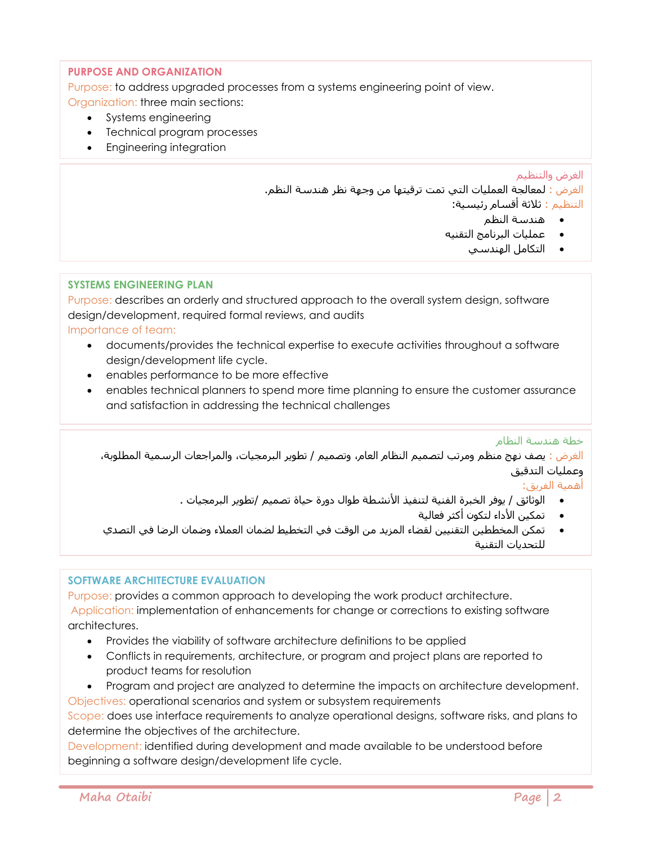# **PURPOSE AND ORGANIZATION**

Purpose: to address upgraded processes from a systems engineering point of view.

- Organization: three main sections:
	- Systems engineering
	- Technical program processes
	- **•** Engineering integration

## الغرض والتنظيم

الغرض : لمعالجة العمليات التي تمت ترقيتها من وجهة نظر هندسة النظم. التنظيم : ثالثة أقسام رئيسية:

- هندسة النظم
- عمليات البرنامج التقنيه
	- التكامل الهندسي

# **SYSTEMS ENGINEERING PLAN**

Purpose: describes an orderly and structured approach to the overall system design, software design/development, required formal reviews, and audits

Importance of team:

- documents/provides the technical expertise to execute activities throughout a software design/development life cycle.
- enables performance to be more effective
- enables technical planners to spend more time planning to ensure the customer assurance and satisfaction in addressing the technical challenges

خطة هندسة النظام

الغرض : يصف نهج منظم ومرتب لتصميم النظام العام، وتصميم / تطوير البرمجيات، والمراجعات الرسمية المطلوبة، وعمليات التدقيق

أهمية الفريق:

- الوثائق / يوفر الخبرة الفنية لتنفيذ األنشطة طوال دورة حياة تصميم /تطوير البرمجيات .
	- **•** تمكين الأداء لتكون أكثر فعالية
- تمكن المخططين التقنيين لقضاء المزيد من الوقت في التخطيط لضمان العمالء وضمان الرضا في التصدي للتحديات التقنية

# **SOFTWARE ARCHITECTURE EVALUATION**

Purpose: provides a common approach to developing the work product architecture. Application: implementation of enhancements for change or corrections to existing software architectures.

- Provides the viability of software architecture definitions to be applied
- Conflicts in requirements, architecture, or program and project plans are reported to product teams for resolution
- Program and project are analyzed to determine the impacts on architecture development.
- Objectives: operational scenarios and system or subsystem requirements

Scope: does use interface requirements to analyze operational designs, software risks, and plans to determine the objectives of the architecture.

Development: identified during development and made available to be understood before beginning a software design/development life cycle.